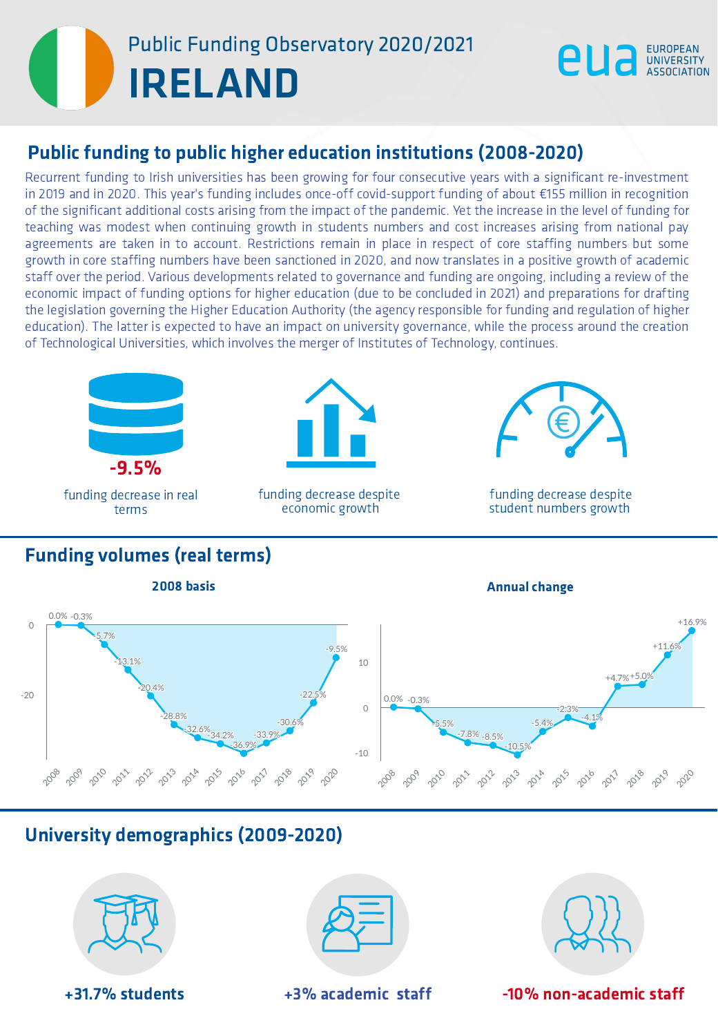## **ELAND** Public Funding Observatory 2020/2021

Recurrent funding to Irish universities has been growing for four consecutive years with a significant re-investment in 2019 and in 2020. This year's funding includes once-off covid-support funding of about  $E155$  million in recognition<br>of the significant additional costs arising from the impact of the pandemic. Yet the increase in the **Public funding to public higher education institutions (2008-2020)**<br>Recurrent funding to Irish universities has been growing for four consecutive years with a significant re-investment<br>in 2019 and in 2020. This year's fu IRINENSIS<br>
Ing to Irish<br>
Ito Irish<br>
Ito Irish<br>
Ito Irish<br>
Ito Iring nur<br>
Ito Iring nur<br>
Ito Irish<br>
Ito Irish<br>
Ito Irish<br>
Ito Irish<br>
Ito Irish<br>
Ito Irish<br>
Ito Irish<br>
Ito Irish<br>
Ito Irish<br>
Ito Irish<br>
Ito Irish<br>
Ito Irish<br>
It





funding decrease despite economic growth



EUROPEAN<br>UNIVERSITY

funding decrease despite student numbers growth

#### Funding volumes (real terms)



### University demographics (2009-2020)



+3 1.7 % s t u d e n t s



+3% academic staff



-10% non-academic staff